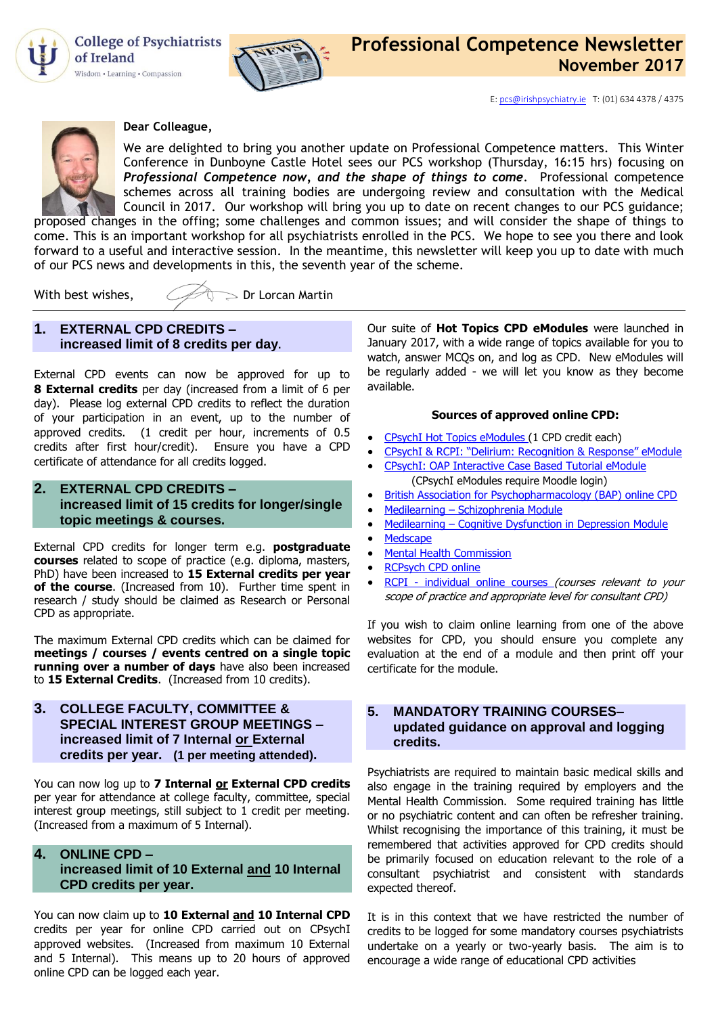

**College of Psychiatrists** of Ireland Wisdom • Learning • Compassion





#### **Dear Colleague,**

We are delighted to bring you another update on Professional Competence matters. This Winter Conference in Dunboyne Castle Hotel sees our PCS workshop (Thursday, 16:15 hrs) focusing on *Professional Competence now, and the shape of things to come*. Professional competence schemes across all training bodies are undergoing review and consultation with the Medical Council in 2017. Our workshop will bring you up to date on recent changes to our PCS guidance; proposed changes in the offing; some challenges and common issues; and will consider the shape of things to

come. This is an important workshop for all psychiatrists enrolled in the PCS. We hope to see you there and look forward to a useful and interactive session. In the meantime, this newsletter will keep you up to date with much of our PCS news and developments in this, the seventh year of the scheme.

With best wishes,  $\mathcal{Q}(\mathcal{Q})$  Dr Lorcan Martin

## **1. EXTERNAL CPD CREDITS – increased limit of 8 credits per day.**

External CPD events can now be approved for up to **8 External credits** per day (increased from a limit of 6 per day). Please log external CPD credits to reflect the duration of your participation in an event, up to the number of approved credits. (1 credit per hour, increments of 0.5 credits after first hour/credit). Ensure you have a CPD certificate of attendance for all credits logged.

### **2. EXTERNAL CPD CREDITS – increased limit of 15 credits for longer/single topic meetings & courses.**

External CPD credits for longer term e.g. **postgraduate courses** related to scope of practice (e.g. diploma, masters, PhD) have been increased to **15 External credits per year of the course**. (Increased from 10). Further time spent in research / study should be claimed as Research or Personal CPD as appropriate.

The maximum External CPD credits which can be claimed for **meetings / courses / events centred on a single topic running over a number of days** have also been increased to **15 External Credits**. (Increased from 10 credits).

**3. [COLLEGE FACULTY,](http://collegeofpsychiatryireland.newsweaver.co.uk/newsletter/1bcdch2t8xl13d8mgyqtf4?a=1&p=33459695&t=18724804) COMMITTEE & [SPECIAL INTEREST GROUP](http://collegeofpsychiatryireland.newsweaver.co.uk/newsletter/1bcdch2t8xl13d8mgyqtf4?a=1&p=33459695&t=18724804) MEETINGS – [increased limit of 7 Internal or External](http://collegeofpsychiatryireland.newsweaver.co.uk/newsletter/1bcdch2t8xl13d8mgyqtf4?a=1&p=33459695&t=18724804)  credits per year. [\(1 per meeting attended\)](http://collegeofpsychiatryireland.newsweaver.co.uk/newsletter/1bcdch2t8xl13d8mgyqtf4?a=1&p=33459695&t=18724804).**

You can now log up to **7 Internal or External CPD credits** per year for attendance at college faculty, committee, special interest group meetings, still subject to 1 credit per meeting. (Increased from a maximum of 5 Internal).

## **4. [ONLINE CPD –](http://collegeofpsychiatryireland.newsweaver.co.uk/newsletter/1bcdch2t8xl13d8mgyqtf4?a=1&p=33459695&t=18724804)**

# **[increased limit of 10 External](http://collegeofpsychiatryireland.newsweaver.co.uk/newsletter/1bcdch2t8xl13d8mgyqtf4?a=1&p=33459695&t=18724804) and 10 Internal [CPD credits per year.](http://collegeofpsychiatryireland.newsweaver.co.uk/newsletter/1bcdch2t8xl13d8mgyqtf4?a=1&p=33459695&t=18724804)**

You can now claim up to **10 External and 10 Internal CPD** credits per year for online CPD carried out on CPsychI approved websites. (Increased from maximum 10 External and 5 Internal). This means up to 20 hours of approved online CPD can be logged each year.

Our suite of **Hot Topics CPD eModules** were launched in January 2017, with a wide range of topics available for you to watch, answer MCQs on, and log as CPD. New eModules will be regularly added - we will let you know as they become available.

#### **Sources of approved online CPD:**

- [CPsychI Hot Topics eModules \(1 CPD credit each\)](http://www.irishpsychiatry.ie/professional-competence/hot-topics-emodules-online-cpd/cpsychi-hot-topics-emodules/)
- [CPsychI & RCPI: "Delirium: Recognition & Response" eModule](http://elearning.irishpsychiatry.ie/course/category.php?id=78)
- CPsychI: [OAP Interactive Case Based Tutorial](http://elearning.irishpsychiatry.ie/course/category.php?id=78) eModule (CPsychI eModules require Moodle login)
- **•** [British Association for Psychopharmacology \(BAP\) online CPD](http://www.bap.org.uk/onlinecpd.php)
- Medilearning [Schizophrenia Module](http://medilearning.ie/doctorcpd/schizophrenia,--laias-compared-to-oral-antipsychotics)
- Medilearning [Cognitive Dysfunction in Depression Module](http://www.medilearning.ie/doctorcpd/cognitive-dysfunction-in-depression)
- [Medscape](http://www.medscape.org/)
- [Mental Health Commission](http://mhc.thelearningcentre.ie/)
- [RCPsych CPD online](http://www.psychiatrycpd.co.uk/)
- RCPI [individual online courses](https://www.rcpi.ie/courses-and-events/) (courses relevant to your scope of practice and appropriate level for consultant CPD)

If you wish to claim online learning from one of the above websites for CPD, you should ensure you complete any evaluation at the end of a module and then print off your certificate for the module.

## **[5. MANDATORY TRAINING COURSES–](http://collegeofpsychiatryireland.newsweaver.co.uk/newsletter/1bcdch2t8xl13d8mgyqtf4?a=1&p=33459695&t=18724804) [updated guidance on](http://collegeofpsychiatryireland.newsweaver.co.uk/newsletter/1bcdch2t8xl13d8mgyqtf4?a=1&p=33459695&t=18724804) approval and logging [credits.](http://collegeofpsychiatryireland.newsweaver.co.uk/newsletter/1bcdch2t8xl13d8mgyqtf4?a=1&p=33459695&t=18724804)**

Psychiatrists are required to maintain basic medical skills and also engage in the training required by employers and the Mental Health Commission. Some required training has little or no psychiatric content and can often be refresher training. Whilst recognising the importance of this training, it must be remembered that activities approved for CPD credits should be primarily focused on education relevant to the role of a consultant psychiatrist and consistent with standards expected thereof.

It is in this context that we have restricted the number of credits to be logged for some mandatory courses psychiatrists undertake on a yearly or two-yearly basis. The aim is to encourage a wide range of educational CPD activities